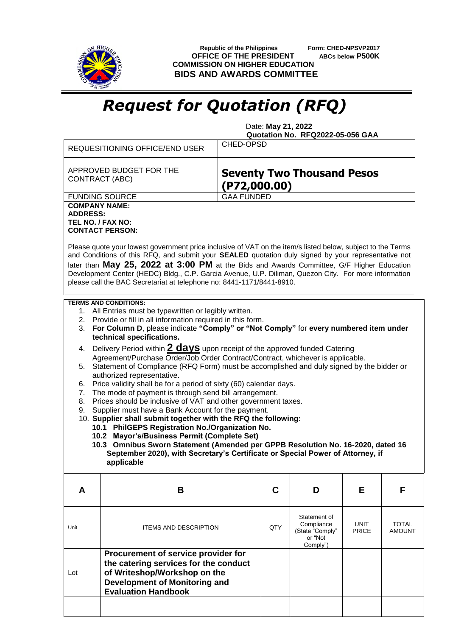

 **Republic of the Philippines Form: CHED-NPSVP2017 OFFICE OF THE PRESIDENT ABCs below P500K COMMISSION ON HIGHER EDUCATION BIDS AND AWARDS COMMITTEE**

## *Request for Quotation (RFQ)*

 Date: **May 21, 2022 Quotation No. RFQ2022-05-056 GAA**

| CHED-OPSD<br><b>REQUESITIONING OFFICE/END USER</b>                                                                                                                                                                                                                                                                                                                                                                                                                                                                                                                                                                                                                                                                                                                                                                                                                                                                                                                                                                                                                                                                                                                                                                              |                                                                                                                                                                             |  |     |                                                                      |                             |                               |  |
|---------------------------------------------------------------------------------------------------------------------------------------------------------------------------------------------------------------------------------------------------------------------------------------------------------------------------------------------------------------------------------------------------------------------------------------------------------------------------------------------------------------------------------------------------------------------------------------------------------------------------------------------------------------------------------------------------------------------------------------------------------------------------------------------------------------------------------------------------------------------------------------------------------------------------------------------------------------------------------------------------------------------------------------------------------------------------------------------------------------------------------------------------------------------------------------------------------------------------------|-----------------------------------------------------------------------------------------------------------------------------------------------------------------------------|--|-----|----------------------------------------------------------------------|-----------------------------|-------------------------------|--|
| APPROVED BUDGET FOR THE<br><b>Seventy Two Thousand Pesos</b><br>CONTRACT (ABC)<br>$($ P72,000.00 $)$                                                                                                                                                                                                                                                                                                                                                                                                                                                                                                                                                                                                                                                                                                                                                                                                                                                                                                                                                                                                                                                                                                                            |                                                                                                                                                                             |  |     |                                                                      |                             |                               |  |
|                                                                                                                                                                                                                                                                                                                                                                                                                                                                                                                                                                                                                                                                                                                                                                                                                                                                                                                                                                                                                                                                                                                                                                                                                                 | <b>GAA FUNDED</b><br><b>FUNDING SOURCE</b>                                                                                                                                  |  |     |                                                                      |                             |                               |  |
| <b>COMPANY NAME:</b><br><b>ADDRESS:</b><br>TEL NO. / FAX NO:<br><b>CONTACT PERSON:</b><br>Please quote your lowest government price inclusive of VAT on the item/s listed below, subject to the Terms<br>and Conditions of this RFQ, and submit your SEALED quotation duly signed by your representative not<br>later than May 25, 2022 at 3:00 PM at the Bids and Awards Committee, G/F Higher Education<br>Development Center (HEDC) Bldg., C.P. Garcia Avenue, U.P. Diliman, Quezon City. For more information<br>please call the BAC Secretariat at telephone no: 8441-1171/8441-8910.                                                                                                                                                                                                                                                                                                                                                                                                                                                                                                                                                                                                                                      |                                                                                                                                                                             |  |     |                                                                      |                             |                               |  |
| <b>TERMS AND CONDITIONS:</b><br>1. All Entries must be typewritten or legibly written.<br>Provide or fill in all information required in this form.<br>2.<br>3. For Column D, please indicate "Comply" or "Not Comply" for every numbered item under<br>technical specifications.<br>Delivery Period within 2 <b>days</b> upon receipt of the approved funded Catering<br>4.<br>Agreement/Purchase Order/Job Order Contract/Contract, whichever is applicable.<br>5. Statement of Compliance (RFQ Form) must be accomplished and duly signed by the bidder or<br>authorized representative.<br>Price validity shall be for a period of sixty (60) calendar days.<br>6.<br>The mode of payment is through send bill arrangement.<br>7.<br>Prices should be inclusive of VAT and other government taxes.<br>8.<br>Supplier must have a Bank Account for the payment.<br>9.<br>10. Supplier shall submit together with the RFQ the following:<br>10.1 PhilGEPS Registration No./Organization No.<br>10.2 Mayor's/Business Permit (Complete Set)<br>10.3 Omnibus Sworn Statement (Amended per GPPB Resolution No. 16-2020, dated 16<br>September 2020), with Secretary's Certificate or Special Power of Attorney, if<br>applicable |                                                                                                                                                                             |  |     |                                                                      |                             |                               |  |
| A                                                                                                                                                                                                                                                                                                                                                                                                                                                                                                                                                                                                                                                                                                                                                                                                                                                                                                                                                                                                                                                                                                                                                                                                                               | В                                                                                                                                                                           |  | C   | D                                                                    | Е                           | F                             |  |
| Unit                                                                                                                                                                                                                                                                                                                                                                                                                                                                                                                                                                                                                                                                                                                                                                                                                                                                                                                                                                                                                                                                                                                                                                                                                            | <b>ITEMS AND DESCRIPTION</b>                                                                                                                                                |  | QTY | Statement of<br>Compliance<br>(State "Comply"<br>or "Not<br>Comply") | <b>UNIT</b><br><b>PRICE</b> | <b>TOTAL</b><br><b>AMOUNT</b> |  |
| Lot                                                                                                                                                                                                                                                                                                                                                                                                                                                                                                                                                                                                                                                                                                                                                                                                                                                                                                                                                                                                                                                                                                                                                                                                                             | Procurement of service provider for<br>the catering services for the conduct<br>of Writeshop/Workshop on the<br>Development of Monitoring and<br><b>Evaluation Handbook</b> |  |     |                                                                      |                             |                               |  |
|                                                                                                                                                                                                                                                                                                                                                                                                                                                                                                                                                                                                                                                                                                                                                                                                                                                                                                                                                                                                                                                                                                                                                                                                                                 |                                                                                                                                                                             |  |     |                                                                      |                             |                               |  |
|                                                                                                                                                                                                                                                                                                                                                                                                                                                                                                                                                                                                                                                                                                                                                                                                                                                                                                                                                                                                                                                                                                                                                                                                                                 |                                                                                                                                                                             |  |     |                                                                      |                             |                               |  |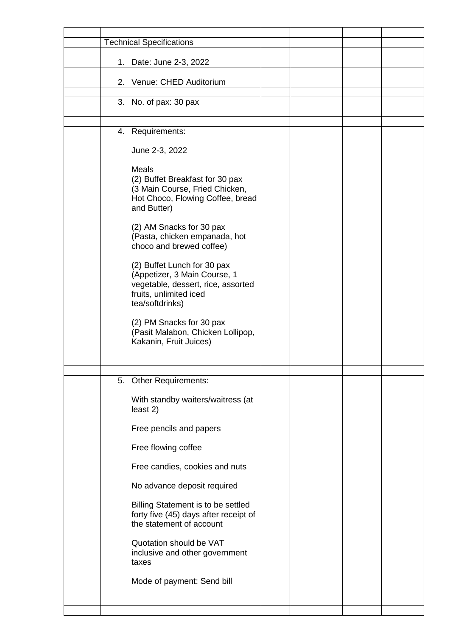|  | <b>Technical Specifications</b>                                                                                                                                                                                                                                                                                                                                                                                                                                            |  |  |
|--|----------------------------------------------------------------------------------------------------------------------------------------------------------------------------------------------------------------------------------------------------------------------------------------------------------------------------------------------------------------------------------------------------------------------------------------------------------------------------|--|--|
|  |                                                                                                                                                                                                                                                                                                                                                                                                                                                                            |  |  |
|  | 1. Date: June 2-3, 2022                                                                                                                                                                                                                                                                                                                                                                                                                                                    |  |  |
|  | 2. Venue: CHED Auditorium                                                                                                                                                                                                                                                                                                                                                                                                                                                  |  |  |
|  | 3. No. of pax: 30 pax                                                                                                                                                                                                                                                                                                                                                                                                                                                      |  |  |
|  |                                                                                                                                                                                                                                                                                                                                                                                                                                                                            |  |  |
|  | 4. Requirements:                                                                                                                                                                                                                                                                                                                                                                                                                                                           |  |  |
|  |                                                                                                                                                                                                                                                                                                                                                                                                                                                                            |  |  |
|  | June 2-3, 2022                                                                                                                                                                                                                                                                                                                                                                                                                                                             |  |  |
|  | <b>Meals</b><br>(2) Buffet Breakfast for 30 pax<br>(3 Main Course, Fried Chicken,<br>Hot Choco, Flowing Coffee, bread<br>and Butter)<br>(2) AM Snacks for 30 pax<br>(Pasta, chicken empanada, hot<br>choco and brewed coffee)<br>(2) Buffet Lunch for 30 pax<br>(Appetizer, 3 Main Course, 1<br>vegetable, dessert, rice, assorted<br>fruits, unlimited iced<br>tea/softdrinks)<br>(2) PM Snacks for 30 pax<br>(Pasit Malabon, Chicken Lollipop,<br>Kakanin, Fruit Juices) |  |  |
|  |                                                                                                                                                                                                                                                                                                                                                                                                                                                                            |  |  |
|  | 5. Other Requirements:                                                                                                                                                                                                                                                                                                                                                                                                                                                     |  |  |
|  | With standby waiters/waitress (at<br>least 2)                                                                                                                                                                                                                                                                                                                                                                                                                              |  |  |
|  | Free pencils and papers                                                                                                                                                                                                                                                                                                                                                                                                                                                    |  |  |
|  | Free flowing coffee                                                                                                                                                                                                                                                                                                                                                                                                                                                        |  |  |
|  | Free candies, cookies and nuts                                                                                                                                                                                                                                                                                                                                                                                                                                             |  |  |
|  | No advance deposit required                                                                                                                                                                                                                                                                                                                                                                                                                                                |  |  |
|  | Billing Statement is to be settled<br>forty five (45) days after receipt of<br>the statement of account                                                                                                                                                                                                                                                                                                                                                                    |  |  |
|  | Quotation should be VAT<br>inclusive and other government<br>taxes                                                                                                                                                                                                                                                                                                                                                                                                         |  |  |
|  | Mode of payment: Send bill                                                                                                                                                                                                                                                                                                                                                                                                                                                 |  |  |
|  |                                                                                                                                                                                                                                                                                                                                                                                                                                                                            |  |  |
|  |                                                                                                                                                                                                                                                                                                                                                                                                                                                                            |  |  |